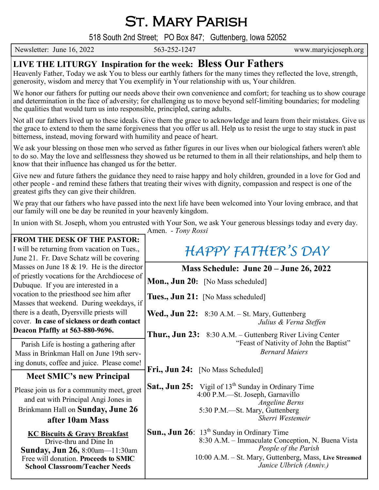St. Mary Parish

518 South 2nd Street; PO Box 847; Guttenberg, Iowa 52052

Newsletter: June 16, 2022 563-252-1247 www.maryicjoseph.org

## **LIVE THE LITURGY Inspiration for the week: Bless Our Fathers**

Heavenly Father, Today we ask You to bless our earthly fathers for the many times they reflected the love, strength, generosity, wisdom and mercy that You exemplify in Your relationship with us, Your children.

We honor our fathers for putting our needs above their own convenience and comfort; for teaching us to show courage and determination in the face of adversity; for challenging us to move beyond self-limiting boundaries; for modeling the qualities that would turn us into responsible, principled, caring adults.

Not all our fathers lived up to these ideals. Give them the grace to acknowledge and learn from their mistakes. Give us the grace to extend to them the same forgiveness that you offer us all. Help us to resist the urge to stay stuck in past bitterness, instead, moving forward with humility and peace of heart.

We ask your blessing on those men who served as father figures in our lives when our biological fathers weren't able to do so. May the love and selflessness they showed us be returned to them in all their relationships, and help them to know that their influence has changed us for the better.

Give new and future fathers the guidance they need to raise happy and holy children, grounded in a love for God and other people - and remind these fathers that treating their wives with dignity, compassion and respect is one of the greatest gifts they can give their children.

We pray that our fathers who have passed into the next life have been welcomed into Your loving embrace, and that our family will one be day be reunited in your heavenly kingdom.

In union with St. Joseph, whom you entrusted with Your Son, we ask Your generous blessings today and every day.

Amen. *- Tony Rossi*

| <b>FROM THE DESK OF THE PASTOR:</b>          |                                                                        |  |
|----------------------------------------------|------------------------------------------------------------------------|--|
| I will be returning from vacation on Tues.,  | <b>HAPPY FATHER'S DAY</b>                                              |  |
| June 21. Fr. Dave Schatz will be covering    |                                                                        |  |
| Masses on June 18 $&$ 19. He is the director |                                                                        |  |
| of priestly vocations for the Archdiocese of | Mass Schedule: June 20 – June 26, 2022                                 |  |
|                                              | Mon., Jun 20: [No Mass scheduled]                                      |  |
| Dubuque. If you are interested in a          |                                                                        |  |
| vocation to the priesthood see him after     | Tues., Jun 21: [No Mass scheduled]                                     |  |
| Masses that weekend. During weekdays, if     |                                                                        |  |
| there is a death, Dyersville priests will    | <b>Wed., Jun 22:</b> 8:30 A.M. – St. Mary, Guttenberg                  |  |
| cover. In case of sickness or death contact  | Julius & Verna Steffen                                                 |  |
| Deacon Pfaffly at 563-880-9696.              | <b>Thur., Jun 23:</b> 8:30 A.M. – Guttenberg River Living Center       |  |
|                                              | "Feast of Nativity of John the Baptist"                                |  |
| Parish Life is hosting a gathering after     | <b>Bernard Maiers</b>                                                  |  |
| Mass in Brinkman Hall on June 19th serv-     |                                                                        |  |
| ing donuts, coffee and juice. Please come!   |                                                                        |  |
| <b>Meet SMIC's new Principal</b>             | Fri., Jun 24: [No Mass Scheduled]                                      |  |
|                                              | <b>Sat., Jun 25:</b> Vigil of 13 <sup>th</sup> Sunday in Ordinary Time |  |
| Please join us for a community meet, greet   |                                                                        |  |
| and eat with Principal Angi Jones in         | 4:00 P.M.—St. Joseph, Garnavillo<br><b>Angeline Berns</b>              |  |
| Brinkmann Hall on Sunday, June 26            | 5:30 P.M.—St. Mary, Guttenberg                                         |  |
| after 10am Mass                              | Sherri Westemeir                                                       |  |
|                                              |                                                                        |  |
| <b>KC Biscuits &amp; Gravy Breakfast</b>     | <b>Sun., Jun 26:</b> $13th$ Sunday in Ordinary Time                    |  |
| Drive-thru and Dine In                       | 8:30 A.M. - Immaculate Conception, N. Buena Vista                      |  |
| <b>Sunday, Jun 26, 8:00am</b> —11:30am       | People of the Parish                                                   |  |
| Free will donation. Proceeds to SMIC         | 10:00 A.M. - St. Mary, Guttenberg, Mass, Live Streamed                 |  |
| <b>School Classroom/Teacher Needs</b>        | Janice Ulbrich (Anniv.)                                                |  |
|                                              |                                                                        |  |